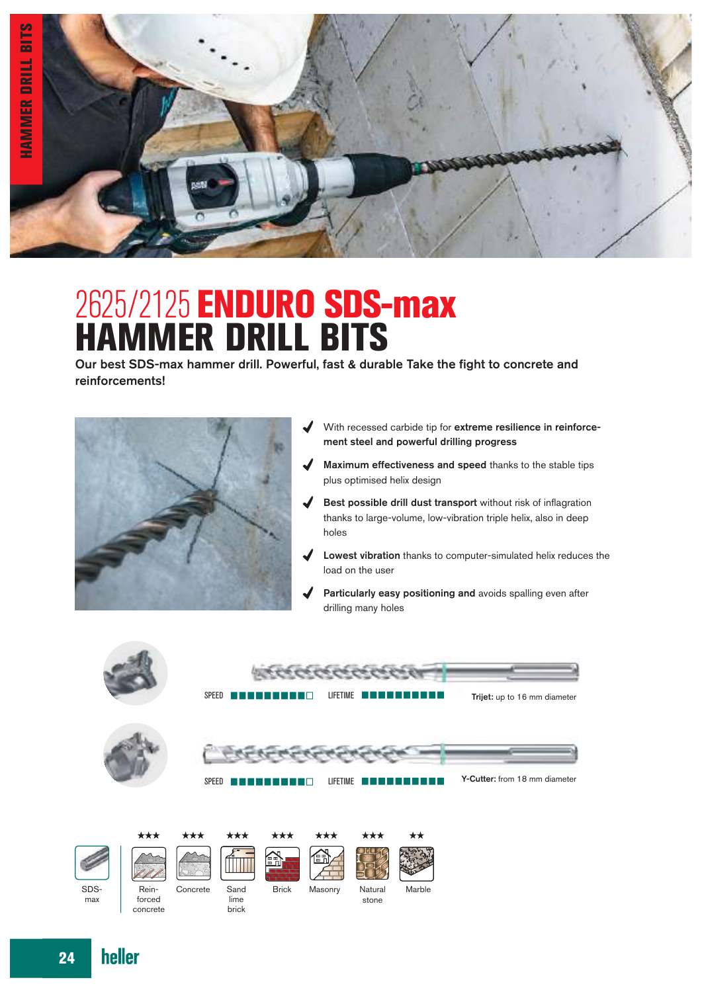

## 2625/2125 ENDURO SDS-max HAMMER DRILL BITS

Our best SDS-max hammer drill. Powerful, fast & durable Take the fight to concrete and reinforcements!



- $\boldsymbol{J}$ With recessed carbide tip for extreme resilience in reinforcement steel and powerful drilling progress
- Maximum effectiveness and speed thanks to the stable tips J plus optimised helix design
- Best possible drill dust transport without risk of inflagration thanks to large-volume, low-vibration triple helix, also in deep holes
- Lowest vibration thanks to computer-simulated helix reduces the  $\boldsymbol{J}$ load on the user
- Particularly easy positioning and avoids spalling even after drilling many holes